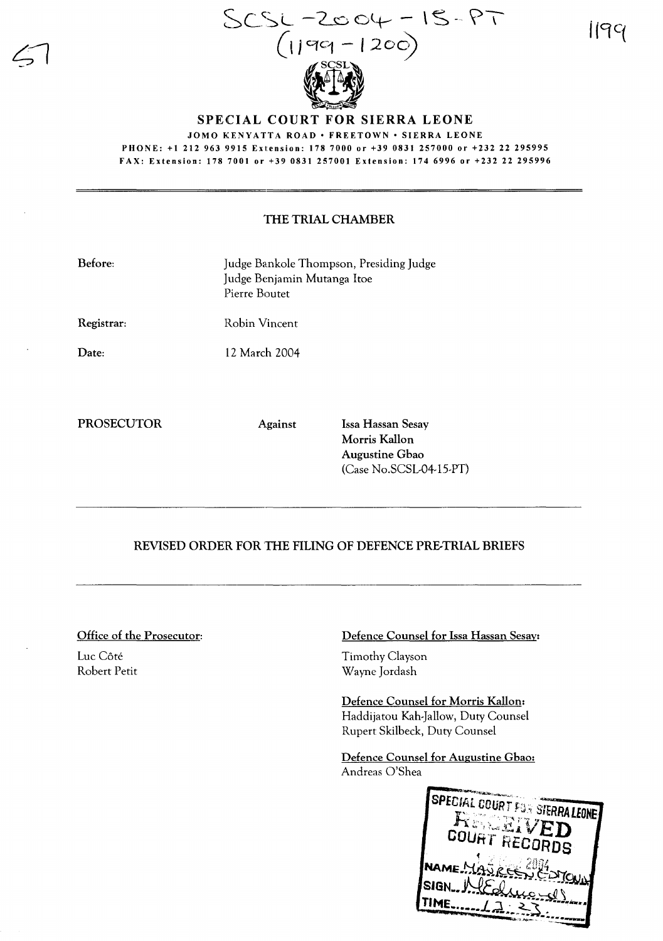

1199

## SPECIAL COURT FOR SIERRA LEONE

JOMO KENYATTA ROAD · FREETOWN · SIERRA LEONE PHONE: +1 212 963 9915 Extension: 1787000 or +39 0831257000 or +232 22 295995 FAX: Extension: 1787001 or +39 0831 257001 Extension: 1746996 or +232 22 295996

## THE TRIAL CHAMBER

| Before: | Judge Bankole Thompson, Presiding Judge |
|---------|-----------------------------------------|
|         | Judge Benjamin Mutanga Itoe             |
|         | Pierre Boutet                           |
|         |                                         |

Robin Vincent

Registrar:

Date:

12 March 2004

PROSECUTOR Against Issa Hassan Sesay

Morris Kallon Augustine Gbao (Case No.sCSL-04-15-PT)

## REVISED ORDER FOR THE FILING OF DEFENCE PRE-TRIAL BRIEFS

Office of the Prosecutor:

Luc Côté Robert Petit Defence Counsel for Issa Hassan Sesay:

Timothy Clayson Wayne Jordash

Defence Counsel for Morris Kallon: Haddijatou Kah-Jallow, Duty Counsel Rupert Skilbeck, Duty Counsel

Defence Counsel for Augustine Gbao: Andreas O'Shea

SPECIAL COURTS **STERRA LEONE** COURT